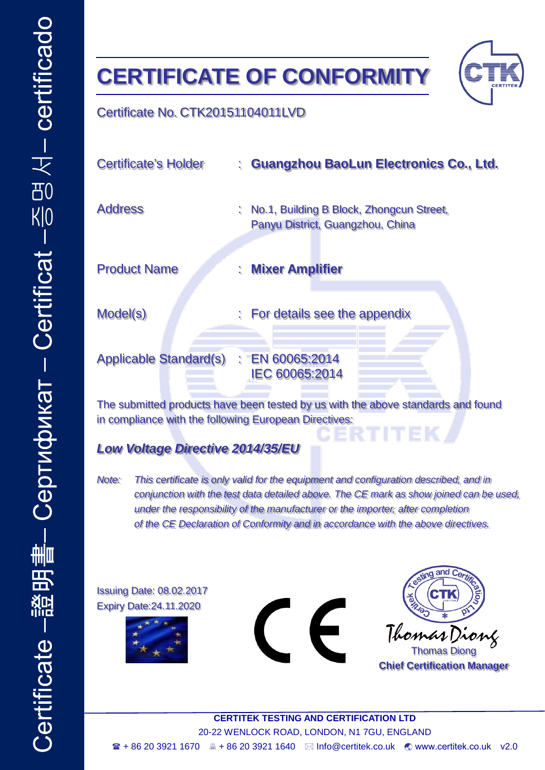## **CERTIFICATE OF CONFORMITY**



## Certificate No. CTK20151104011LVD

| Certificate's Holder                                                                                                                      |    | : Guangzhou BaoLun Electronics Co., Ltd.                                     |
|-------------------------------------------------------------------------------------------------------------------------------------------|----|------------------------------------------------------------------------------|
| <b>Address</b>                                                                                                                            |    | No.1, Building B Block, Zhongcun Street,<br>Panyu District, Guangzhou, China |
| <b>Product Name</b>                                                                                                                       | t. | <b>Mixer Amplifier</b>                                                       |
| Model(s)                                                                                                                                  |    | : For details see the appendix                                               |
| Applicable Standard(s) : EN 60065:2014                                                                                                    |    | IEC 60065:2014                                                               |
| The submitted products have been tested by us with the above standards and found<br>in compliance with the following European Directives: |    |                                                                              |

*Low Voltage Directive 2014/35/EU*

*Note: This certificate is only valid for the equipment and configuration described, and in conjunction with the test data detailed above. The CE mark as show joined can be used, under the responsibility of the manufacturer or the importer, after completion of the CE Declaration of Conformity and in accordance with the above directives.*

Issuing Date: 08.02.2017 Expiry Date:24.11.2020







**Chief Certification Manager**

**CERTITEK TESTING AND CERTIFICATION LTD** 20-22 WENLOCK ROAD, LONDON, N1 7GU, ENGLAND  $\blacksquare$  + 86 20 3921 1670  $\blacksquare$  + 86 20 3921 1640  $\blacksquare$  Info@certitek.co.uk  $\blacksquare$  [www.certitek.co.uk](http://www.certitek.co.uk/) v2.0